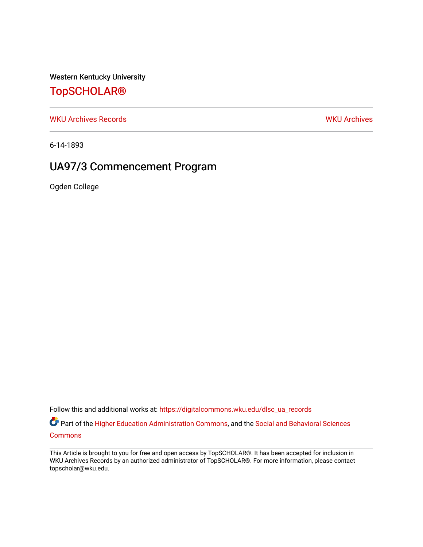Western Kentucky University

### [TopSCHOLAR®](https://digitalcommons.wku.edu/)

[WKU Archives Records](https://digitalcommons.wku.edu/dlsc_ua_records) [WKU Archives](https://digitalcommons.wku.edu/dlsc_ua) 

6-14-1893

### UA97/3 Commencement Program

Ogden College

Follow this and additional works at: [https://digitalcommons.wku.edu/dlsc\\_ua\\_records](https://digitalcommons.wku.edu/dlsc_ua_records?utm_source=digitalcommons.wku.edu%2Fdlsc_ua_records%2F8796&utm_medium=PDF&utm_campaign=PDFCoverPages)

*O* Part of the [Higher Education Administration Commons,](http://network.bepress.com/hgg/discipline/791?utm_source=digitalcommons.wku.edu%2Fdlsc_ua_records%2F8796&utm_medium=PDF&utm_campaign=PDFCoverPages) and the Social and Behavioral Sciences **[Commons](http://network.bepress.com/hgg/discipline/316?utm_source=digitalcommons.wku.edu%2Fdlsc_ua_records%2F8796&utm_medium=PDF&utm_campaign=PDFCoverPages)** 

This Article is brought to you for free and open access by TopSCHOLAR®. It has been accepted for inclusion in WKU Archives Records by an authorized administrator of TopSCHOLAR®. For more information, please contact topscholar@wku.edu.